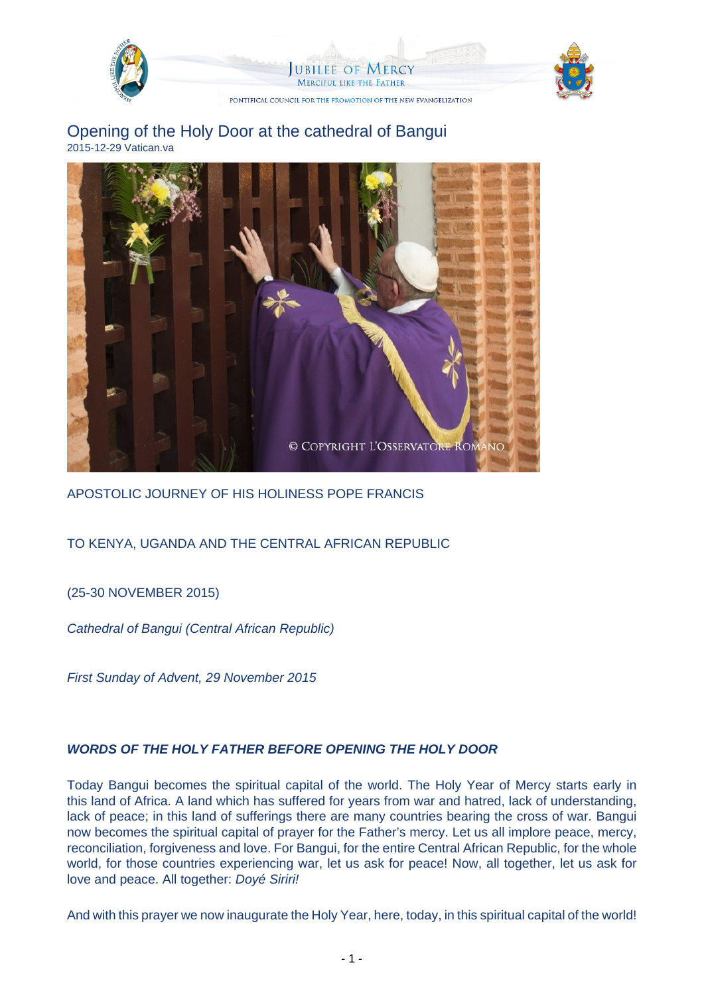

Opening of the Holy Door at the cathedral of Bangui 2015-12-29 Vatican.va



APOSTOLIC JOURNEY OF HIS HOLINESS POPE FRANCIS

## TO KENYA, UGANDA AND THE CENTRAL AFRICAN REPUBLIC

(25-30 NOVEMBER 2015)

Cathedral of Bangui (Central African Republic)

First Sunday of Advent, 29 November 2015

## **WORDS OF THE HOLY FATHER BEFORE OPENING THE HOLY DOOR**

Today Bangui becomes the spiritual capital of the world. The Holy Year of Mercy starts early in this land of Africa. A land which has suffered for years from war and hatred, lack of understanding, lack of peace; in this land of sufferings there are many countries bearing the cross of war. Bangui now becomes the spiritual capital of prayer for the Father's mercy. Let us all implore peace, mercy, reconciliation, forgiveness and love. For Bangui, for the entire Central African Republic, for the whole world, for those countries experiencing war, let us ask for peace! Now, all together, let us ask for love and peace. All together: Doyé Siriri!

And with this prayer we now inaugurate the Holy Year, here, today, in this spiritual capital of the world!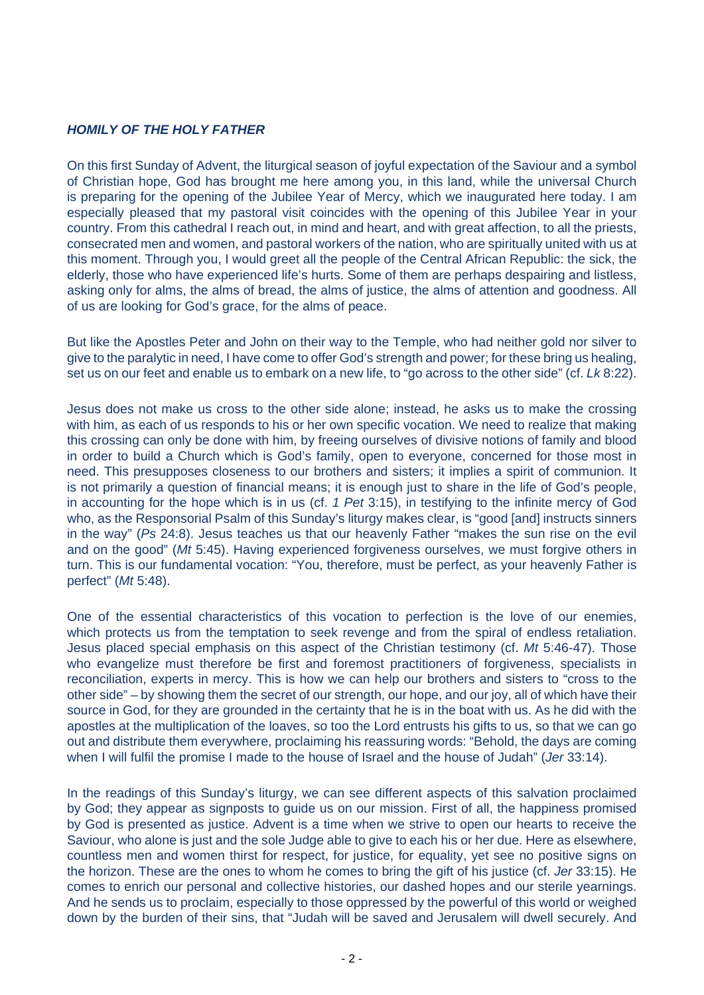## **HOMILY OF THE HOLY FATHER**

On this first Sunday of Advent, the liturgical season of joyful expectation of the Saviour and a symbol of Christian hope, God has brought me here among you, in this land, while the universal Church is preparing for the opening of the Jubilee Year of Mercy, which we inaugurated here today. I am especially pleased that my pastoral visit coincides with the opening of this Jubilee Year in your country. From this cathedral I reach out, in mind and heart, and with great affection, to all the priests, consecrated men and women, and pastoral workers of the nation, who are spiritually united with us at this moment. Through you, I would greet all the people of the Central African Republic: the sick, the elderly, those who have experienced life's hurts. Some of them are perhaps despairing and listless, asking only for alms, the alms of bread, the alms of justice, the alms of attention and goodness. All of us are looking for God's grace, for the alms of peace.

But like the Apostles Peter and John on their way to the Temple, who had neither gold nor silver to give to the paralytic in need, I have come to offer God's strength and power; for these bring us healing, set us on our feet and enable us to embark on a new life, to "go across to the other side" (cf. Lk 8:22).

Jesus does not make us cross to the other side alone; instead, he asks us to make the crossing with him, as each of us responds to his or her own specific vocation. We need to realize that making this crossing can only be done with him, by freeing ourselves of divisive notions of family and blood in order to build a Church which is God's family, open to everyone, concerned for those most in need. This presupposes closeness to our brothers and sisters; it implies a spirit of communion. It is not primarily a question of financial means; it is enough just to share in the life of God's people, in accounting for the hope which is in us (cf. 1 Pet 3:15), in testifying to the infinite mercy of God who, as the Responsorial Psalm of this Sunday's liturgy makes clear, is "good [and] instructs sinners in the way" (Ps 24:8). Jesus teaches us that our heavenly Father "makes the sun rise on the evil and on the good" (Mt 5:45). Having experienced forgiveness ourselves, we must forgive others in turn. This is our fundamental vocation: "You, therefore, must be perfect, as your heavenly Father is perfect" (Mt 5:48).

One of the essential characteristics of this vocation to perfection is the love of our enemies, which protects us from the temptation to seek revenge and from the spiral of endless retaliation. Jesus placed special emphasis on this aspect of the Christian testimony (cf. Mt 5:46-47). Those who evangelize must therefore be first and foremost practitioners of forgiveness, specialists in reconciliation, experts in mercy. This is how we can help our brothers and sisters to "cross to the other side" – by showing them the secret of our strength, our hope, and our joy, all of which have their source in God, for they are grounded in the certainty that he is in the boat with us. As he did with the apostles at the multiplication of the loaves, so too the Lord entrusts his gifts to us, so that we can go out and distribute them everywhere, proclaiming his reassuring words: "Behold, the days are coming when I will fulfil the promise I made to the house of Israel and the house of Judah" (Jer 33:14).

In the readings of this Sunday's liturgy, we can see different aspects of this salvation proclaimed by God; they appear as signposts to guide us on our mission. First of all, the happiness promised by God is presented as justice. Advent is a time when we strive to open our hearts to receive the Saviour, who alone is just and the sole Judge able to give to each his or her due. Here as elsewhere, countless men and women thirst for respect, for justice, for equality, yet see no positive signs on the horizon. These are the ones to whom he comes to bring the gift of his justice (cf. Jer 33:15). He comes to enrich our personal and collective histories, our dashed hopes and our sterile yearnings. And he sends us to proclaim, especially to those oppressed by the powerful of this world or weighed down by the burden of their sins, that "Judah will be saved and Jerusalem will dwell securely. And